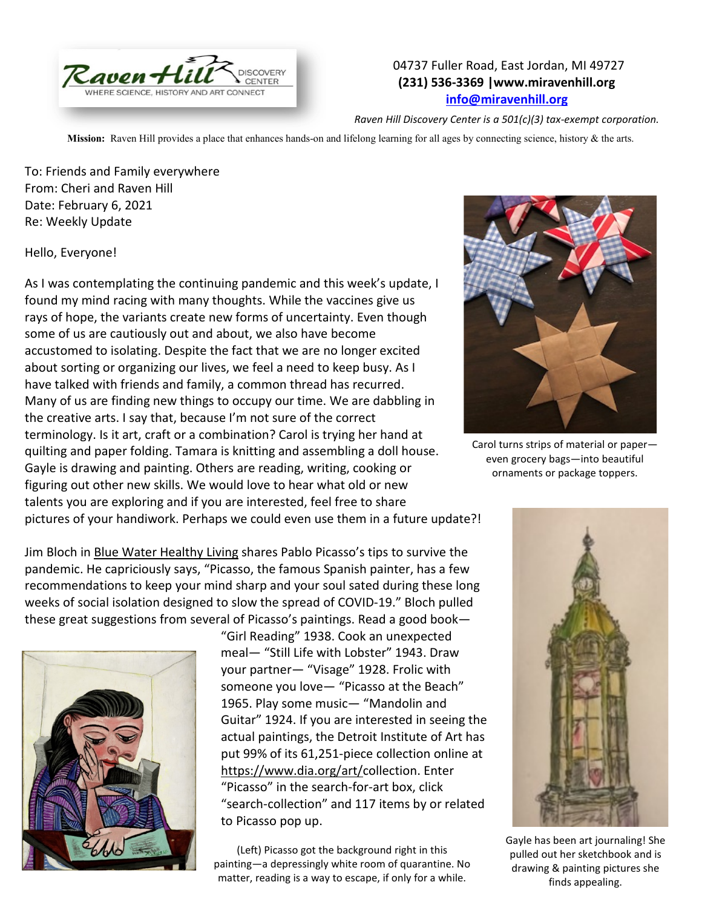

## 04737 Fuller Road, East Jordan, MI 49727 **(231) 536-3369 |www.miravenhill.org [info@miravenhill.org](mailto:info@miravenhill.org)**

*Raven Hill Discovery Center is a 501(c)(3) tax-exempt corporation.*

**Mission:** Raven Hill provides a place that enhances hands-on and lifelong learning for all ages by connecting science, history & the arts.

To: Friends and Family everywhere From: Cheri and Raven Hill Date: February 6, 2021 Re: Weekly Update

Hello, Everyone!

As I was contemplating the continuing pandemic and this week's update, I found my mind racing with many thoughts. While the vaccines give us rays of hope, the variants create new forms of uncertainty. Even though some of us are cautiously out and about, we also have become accustomed to isolating. Despite the fact that we are no longer excited about sorting or organizing our lives, we feel a need to keep busy. As I have talked with friends and family, a common thread has recurred. Many of us are finding new things to occupy our time. We are dabbling in the creative arts. I say that, because I'm not sure of the correct terminology. Is it art, craft or a combination? Carol is trying her hand at quilting and paper folding. Tamara is knitting and assembling a doll house. Gayle is drawing and painting. Others are reading, writing, cooking or figuring out other new skills. We would love to hear what old or new talents you are exploring and if you are interested, feel free to share pictures of your handiwork. Perhaps we could even use them in a future update?!

Jim Bloch in Blue Water Healthy Living shares Pablo Picasso's tips to survive the pandemic. He capriciously says, "Picasso, the famous Spanish painter, has a few recommendations to keep your mind sharp and your soul sated during these long weeks of social isolation designed to slow the spread of COVID-19." Bloch pulled these great suggestions from several of Picasso's paintings. Read a good book—



"Girl Reading" 1938. Cook an unexpected meal— "Still Life with Lobster" 1943. Draw your partner— "Visage" 1928. Frolic with someone you love— "Picasso at the Beach" 1965. Play some music— "Mandolin and Guitar" 1924. If you are interested in seeing the actual paintings, the Detroit Institute of Art has put 99% of its 61,251-piece collection online at [https://www.dia.org/art/c](https://www.dia.org/art/)ollection. Enter "Picasso" in the search-for-art box, click "search-collection" and 117 items by or related to Picasso pop up.

(Left) Picasso got the background right in this painting—a depressingly white room of quarantine. No matter, reading is a way to escape, if only for a while.



Carol turns strips of material or paper even grocery bags—into beautiful ornaments or package toppers.



Gayle has been art journaling! She pulled out her sketchbook and is drawing & painting pictures she finds appealing.